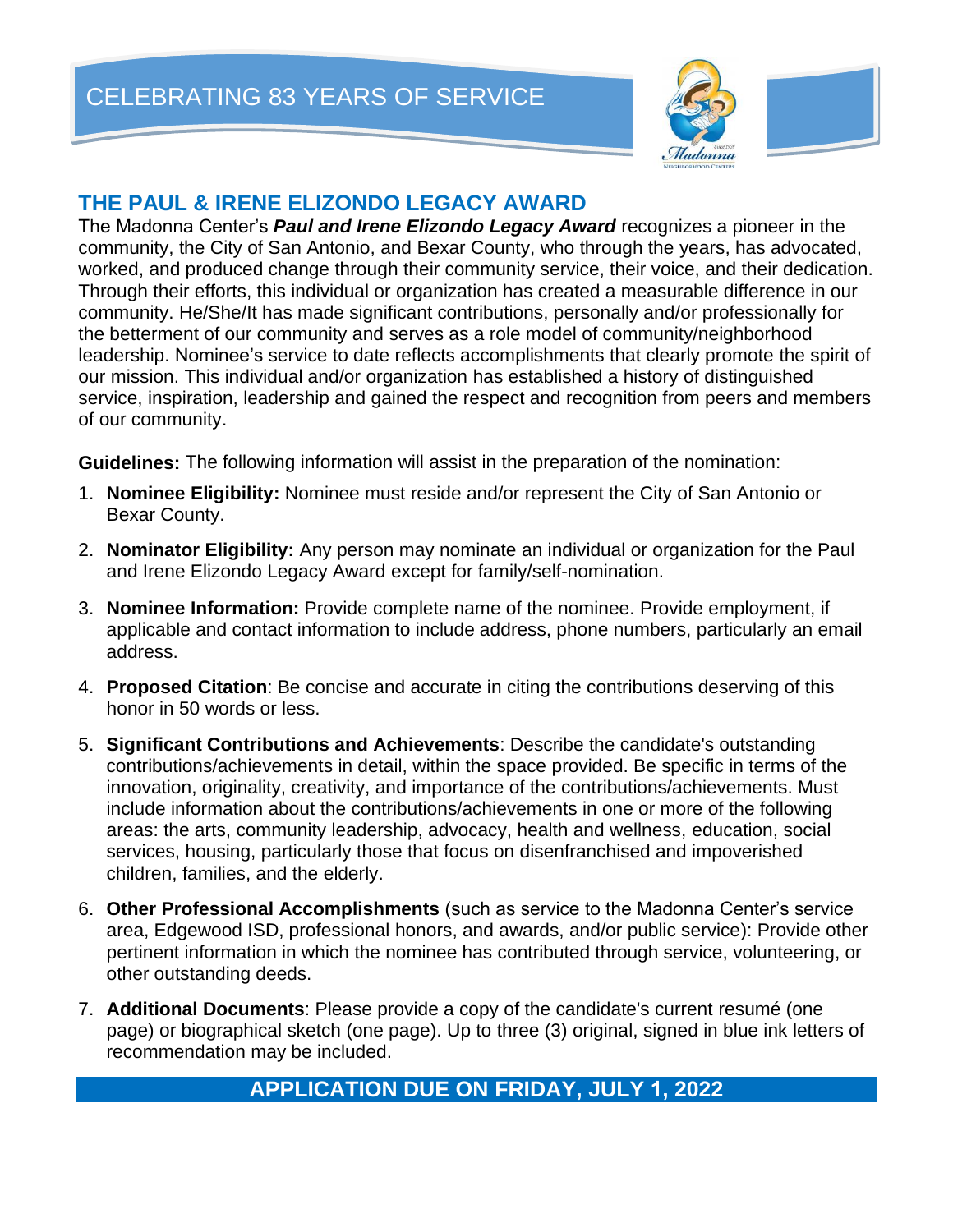CELEBRATING 83 YEARS OF SERVICE



## **THE PAUL & IRENE ELIZONDO LEGACY AWARD**

The Madonna Center's *Paul and Irene Elizondo Legacy Award* recognizes a pioneer in the community, the City of San Antonio, and Bexar County, who through the years, has advocated, worked, and produced change through their community service, their voice, and their dedication. Through their efforts, this individual or organization has created a measurable difference in our community. He/She/It has made significant contributions, personally and/or professionally for the betterment of our community and serves as a role model of community/neighborhood leadership. Nominee's service to date reflects accomplishments that clearly promote the spirit of our mission. This individual and/or organization has established a history of distinguished service, inspiration, leadership and gained the respect and recognition from peers and members of our community.

**Guidelines:** The following information will assist in the preparation of the nomination:

- 1. **Nominee Eligibility:** Nominee must reside and/or represent the City of San Antonio or Bexar County.
- 2. **Nominator Eligibility:** Any person may nominate an individual or organization for the Paul and Irene Elizondo Legacy Award except for family/self-nomination.
- 3. **Nominee Information:** Provide complete name of the nominee. Provide employment, if applicable and contact information to include address, phone numbers, particularly an email address.
- 4. **Proposed Citation**: Be concise and accurate in citing the contributions deserving of this honor in 50 words or less.
- 5. **Significant Contributions and Achievements**: Describe the candidate's outstanding contributions/achievements in detail, within the space provided. Be specific in terms of the innovation, originality, creativity, and importance of the contributions/achievements. Must include information about the contributions/achievements in one or more of the following areas: the arts, community leadership, advocacy, health and wellness, education, social services, housing, particularly those that focus on disenfranchised and impoverished children, families, and the elderly.
- 6. **Other Professional Accomplishments** (such as service to the Madonna Center's service area, Edgewood ISD, professional honors, and awards, and/or public service): Provide other pertinent information in which the nominee has contributed through service, volunteering, or other outstanding deeds.
- 7. **Additional Documents**: Please provide a copy of the candidate's current resumé (one page) or biographical sketch (one page). Up to three (3) original, signed in blue ink letters of recommendation may be included.

## **APPLICATION DUE ON FRIDAY, JULY 1, 2022**